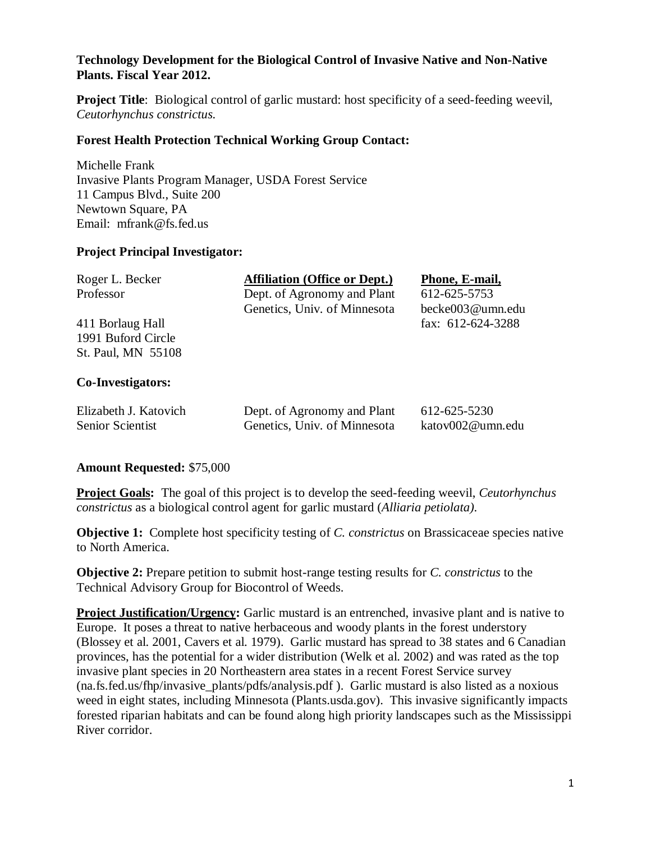# **Technology Development for the Biological Control of Invasive Native and Non-Native Plants. Fiscal Year 2012.**

**Project Title**: Biological control of garlic mustard: host specificity of a seed-feeding weevil, *Ceutorhynchus constrictus.*

## **Forest Health Protection Technical Working Group Contact:**

Michelle Frank Invasive Plants Program Manager, USDA Forest Service 11 Campus Blvd., Suite 200 Newtown Square, PA Email: mfrank@fs.fed.us

## **Project Principal Investigator:**

| <b>Affiliation (Office or Dept.)</b> | Phone, E-mail,          |
|--------------------------------------|-------------------------|
| Dept. of Agronomy and Plant          | 612-625-5753            |
| Genetics, Univ. of Minnesota         | becke003@umn.edu        |
|                                      | fax: $612 - 624 - 3288$ |
|                                      |                         |
|                                      |                         |
|                                      |                         |
|                                      |                         |

## **Co-Investigators:**

| Elizabeth J. Katovich | Dept. of Agronomy and Plant  | 612-625-5230     |
|-----------------------|------------------------------|------------------|
| Senior Scientist      | Genetics, Univ. of Minnesota | katov002@umn.edu |

### **Amount Requested:** \$75,000

**Project Goals:** The goal of this project is to develop the seed-feeding weevil, *Ceutorhynchus constrictus* as a biological control agent for garlic mustard (*Alliaria petiolata)*.

**Objective 1:** Complete host specificity testing of *C. constrictus* on Brassicaceae species native to North America.

**Objective 2:** Prepare petition to submit host-range testing results for *C. constrictus* to the Technical Advisory Group for Biocontrol of Weeds.

**Project Justification/Urgency:** Garlic mustard is an entrenched, invasive plant and is native to Europe. It poses a threat to native herbaceous and woody plants in the forest understory (Blossey et al. 2001, Cavers et al. 1979). Garlic mustard has spread to 38 states and 6 Canadian provinces, has the potential for a wider distribution (Welk et al. 2002) and was rated as the top invasive plant species in 20 Northeastern area states in a recent Forest Service survey (na.fs.fed.us/fhp/invasive\_plants/pdfs/analysis.pdf ). Garlic mustard is also listed as a noxious weed in eight states, including Minnesota (Plants.usda.gov). This invasive significantly impacts forested riparian habitats and can be found along high priority landscapes such as the Mississippi River corridor.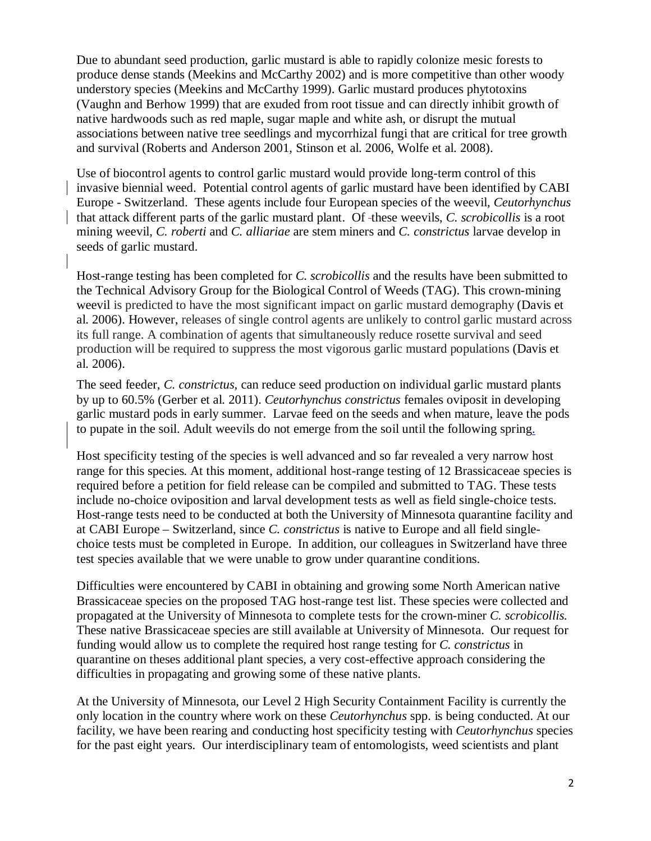Due to abundant seed production, garlic mustard is able to rapidly colonize mesic forests to produce dense stands (Meekins and McCarthy 2002) and is more competitive than other woody understory species (Meekins and McCarthy 1999). Garlic mustard produces phytotoxins (Vaughn and Berhow 1999) that are exuded from root tissue and can directly inhibit growth of native hardwoods such as red maple, sugar maple and white ash, or disrupt the mutual associations between native tree seedlings and mycorrhizal fungi that are critical for tree growth and survival (Roberts and Anderson 2001, Stinson et al. 2006, Wolfe et al. 2008).

Use of biocontrol agents to control garlic mustard would provide long-term control of this invasive biennial weed. Potential control agents of garlic mustard have been identified by CABI Europe - Switzerland. These agents include four European species of the weevil, *Ceutorhynchus*  that attack different parts of the garlic mustard plant. Of -these weevils, *C. scrobicollis* is a root mining weevil, *C. roberti* and *C. alliariae* are stem miners and *C. constrictus* larvae develop in seeds of garlic mustard.

Host-range testing has been completed for *C. scrobicollis* and the results have been submitted to the Technical Advisory Group for the Biological Control of Weeds (TAG). This crown-mining weevil is predicted to have the most significant impact on garlic mustard demography (Davis et al. 2006). However, releases of single control agents are unlikely to control garlic mustard across its full range. A combination of agents that simultaneously reduce rosette survival and seed production will be required to suppress the most vigorous garlic mustard populations (Davis et al. 2006).

The seed feeder, *C. constrictus,* can reduce seed production on individual garlic mustard plants by up to 60.5% (Gerber et al. 2011). *Ceutorhynchus constrictus* females oviposit in developing garlic mustard pods in early summer. Larvae feed on the seeds and when mature, leave the pods to pupate in the soil. Adult weevils do not emerge from the soil until the following spring.

Host specificity testing of the species is well advanced and so far revealed a very narrow host range for this species*.* At this moment, additional host-range testing of 12 Brassicaceae species is required before a petition for field release can be compiled and submitted to TAG. These tests include no-choice oviposition and larval development tests as well as field single-choice tests. Host-range tests need to be conducted at both the University of Minnesota quarantine facility and at CABI Europe – Switzerland, since *C. constrictus* is native to Europe and all field singlechoice tests must be completed in Europe. In addition, our colleagues in Switzerland have three test species available that we were unable to grow under quarantine conditions.

Difficulties were encountered by CABI in obtaining and growing some North American native Brassicaceae species on the proposed TAG host-range test list. These species were collected and propagated at the University of Minnesota to complete tests for the crown-miner *C. scrobicollis.* These native Brassicaceae species are still available at University of Minnesota. Our request for funding would allow us to complete the required host range testing for *C. constrictus* in quarantine on theses additional plant species*,* a very cost-effective approach considering the difficulties in propagating and growing some of these native plants.

At the University of Minnesota, our Level 2 High Security Containment Facility is currently the only location in the country where work on these *Ceutorhynchus* spp. is being conducted. At our facility, we have been rearing and conducting host specificity testing with *Ceutorhynchus* species for the past eight years. Our interdisciplinary team of entomologists, weed scientists and plant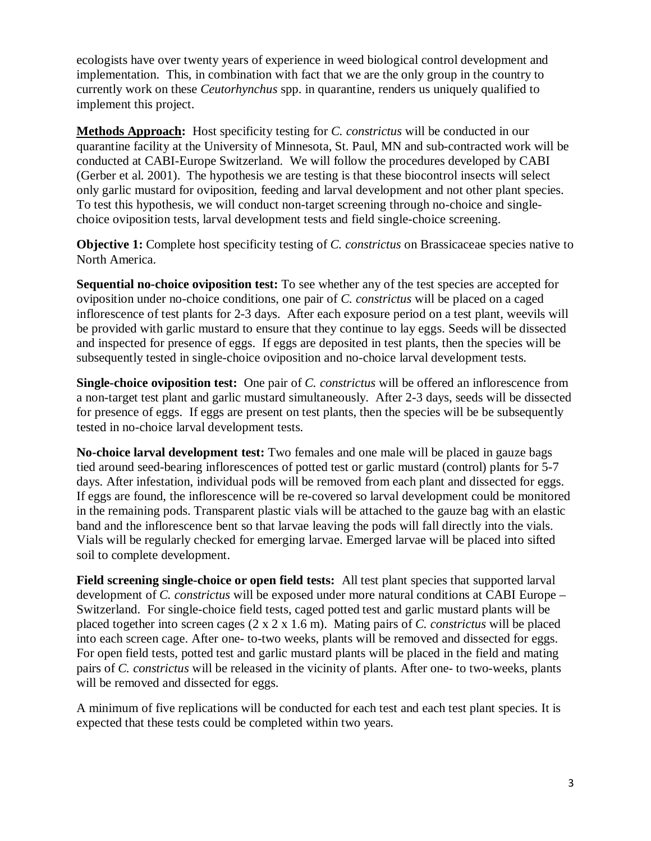ecologists have over twenty years of experience in weed biological control development and implementation. This, in combination with fact that we are the only group in the country to currently work on these *Ceutorhynchus* spp. in quarantine, renders us uniquely qualified to implement this project.

**Methods Approach:** Host specificity testing for *C. constrictus* will be conducted in our quarantine facility at the University of Minnesota, St. Paul, MN and sub-contracted work will be conducted at CABI-Europe Switzerland. We will follow the procedures developed by CABI (Gerber et al. 2001). The hypothesis we are testing is that these biocontrol insects will select only garlic mustard for oviposition, feeding and larval development and not other plant species. To test this hypothesis, we will conduct non-target screening through no-choice and singlechoice oviposition tests, larval development tests and field single-choice screening.

**Objective 1:** Complete host specificity testing of *C. constrictus* on Brassicaceae species native to North America.

**Sequential no-choice oviposition test:** To see whether any of the test species are accepted for oviposition under no-choice conditions, one pair of *C. constrictus* will be placed on a caged inflorescence of test plants for 2-3 days. After each exposure period on a test plant, weevils will be provided with garlic mustard to ensure that they continue to lay eggs. Seeds will be dissected and inspected for presence of eggs. If eggs are deposited in test plants, then the species will be subsequently tested in single-choice oviposition and no-choice larval development tests.

**Single-choice oviposition test:** One pair of *C. constrictus* will be offered an inflorescence from a non-target test plant and garlic mustard simultaneously. After 2-3 days, seeds will be dissected for presence of eggs. If eggs are present on test plants, then the species will be be subsequently tested in no-choice larval development tests.

**No-choice larval development test:** Two females and one male will be placed in gauze bags tied around seed-bearing inflorescences of potted test or garlic mustard (control) plants for 5-7 days. After infestation, individual pods will be removed from each plant and dissected for eggs. If eggs are found, the inflorescence will be re-covered so larval development could be monitored in the remaining pods. Transparent plastic vials will be attached to the gauze bag with an elastic band and the inflorescence bent so that larvae leaving the pods will fall directly into the vials. Vials will be regularly checked for emerging larvae. Emerged larvae will be placed into sifted soil to complete development.

**Field screening single-choice or open field tests:** All test plant species that supported larval development of *C. constrictus* will be exposed under more natural conditions at CABI Europe – Switzerland. For single-choice field tests, caged potted test and garlic mustard plants will be placed together into screen cages (2 x 2 x 1.6 m). Mating pairs of *C. constrictus* will be placed into each screen cage. After one- to-two weeks, plants will be removed and dissected for eggs. For open field tests, potted test and garlic mustard plants will be placed in the field and mating pairs of *C. constrictus* will be released in the vicinity of plants. After one- to two-weeks, plants will be removed and dissected for eggs.

A minimum of five replications will be conducted for each test and each test plant species. It is expected that these tests could be completed within two years.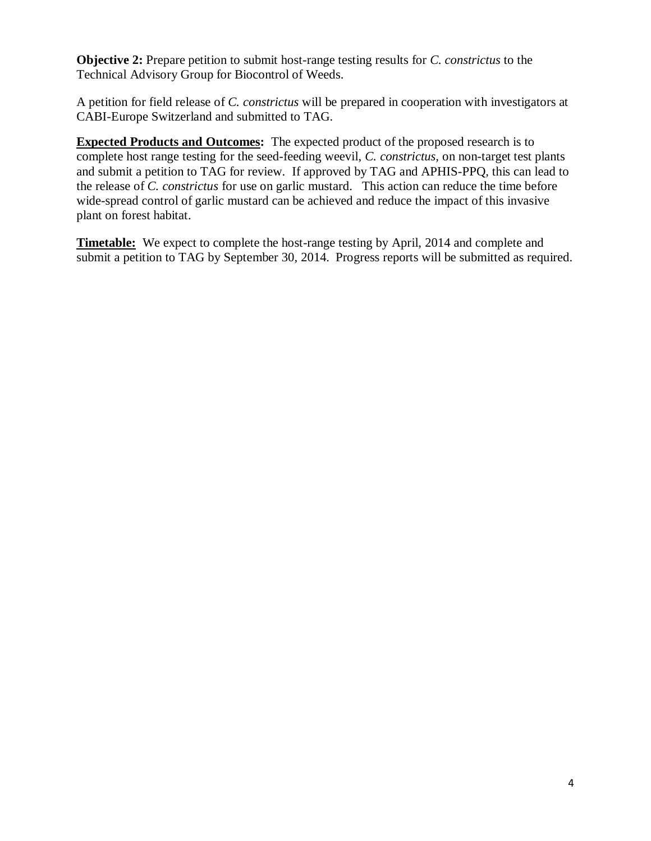**Objective 2:** Prepare petition to submit host-range testing results for *C. constrictus* to the Technical Advisory Group for Biocontrol of Weeds.

A petition for field release of *C. constrictus* will be prepared in cooperation with investigators at CABI-Europe Switzerland and submitted to TAG.

**Expected Products and Outcomes:** The expected product of the proposed research is to complete host range testing for the seed-feeding weevil, *C. constrictus,* on non-target test plants and submit a petition to TAG for review. If approved by TAG and APHIS-PPQ, this can lead to the release of *C. constrictus* for use on garlic mustard. This action can reduce the time before wide-spread control of garlic mustard can be achieved and reduce the impact of this invasive plant on forest habitat.

**Timetable:** We expect to complete the host-range testing by April, 2014 and complete and submit a petition to TAG by September 30, 2014. Progress reports will be submitted as required.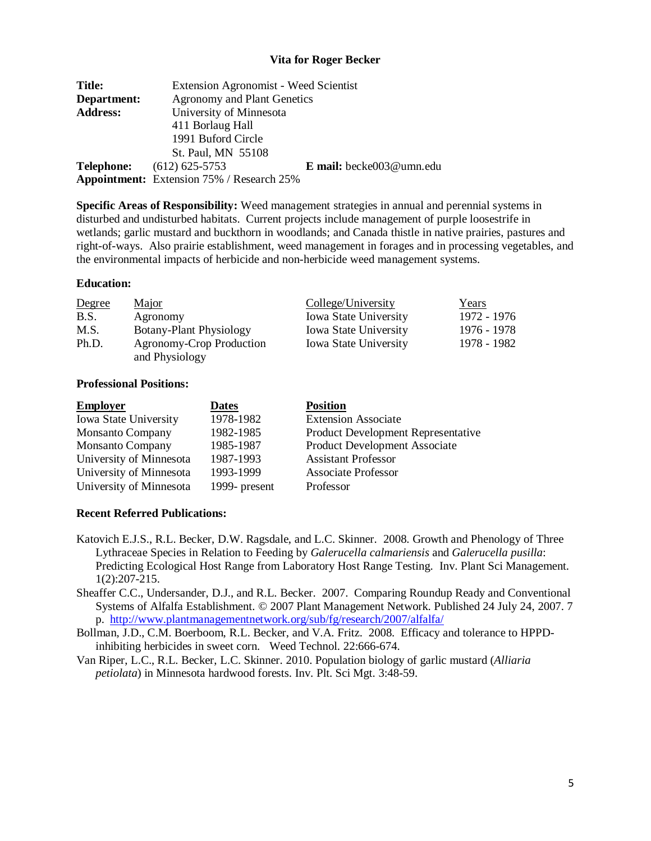### **Vita for Roger Becker**

| <b>Title:</b>   | <b>Extension Agronomist - Weed Scientist</b>     |                          |  |
|-----------------|--------------------------------------------------|--------------------------|--|
| Department:     | <b>Agronomy and Plant Genetics</b>               |                          |  |
| <b>Address:</b> | University of Minnesota                          |                          |  |
|                 | 411 Borlaug Hall                                 |                          |  |
|                 | 1991 Buford Circle                               |                          |  |
|                 | St. Paul, MN 55108                               |                          |  |
| Telephone:      | $(612)$ 625-5753                                 | E mail: becke003@umn.edu |  |
|                 | <b>Appointment:</b> Extension 75% / Research 25% |                          |  |

**Specific Areas of Responsibility:** Weed management strategies in annual and perennial systems in disturbed and undisturbed habitats. Current projects include management of purple loosestrife in wetlands; garlic mustard and buckthorn in woodlands; and Canada thistle in native prairies, pastures and right-of-ways. Also prairie establishment, weed management in forages and in processing vegetables, and the environmental impacts of herbicide and non-herbicide weed management systems.

#### **Education:**

| Degree | Major                          | College/University           | <u>Years</u> |
|--------|--------------------------------|------------------------------|--------------|
| B.S.   | Agronomy                       | <b>Iowa State University</b> | 1972 - 1976  |
| M.S.   | <b>Botany-Plant Physiology</b> | <b>Iowa State University</b> | 1976 - 1978  |
| Ph.D.  | Agronomy-Crop Production       | <b>Iowa State University</b> | 1978 - 1982  |
|        | and Physiology                 |                              |              |

#### **Professional Positions:**

| <b>Employer</b>         | <b>Dates</b>  | <b>Position</b>                           |
|-------------------------|---------------|-------------------------------------------|
| Iowa State University   | 1978-1982     | <b>Extension Associate</b>                |
| <b>Monsanto Company</b> | 1982-1985     | <b>Product Development Representative</b> |
| <b>Monsanto Company</b> | 1985-1987     | Product Development Associate             |
| University of Minnesota | 1987-1993     | <b>Assistant Professor</b>                |
| University of Minnesota | 1993-1999     | <b>Associate Professor</b>                |
| University of Minnesota | 1999- present | Professor                                 |

#### **Recent Referred Publications:**

- Katovich E.J.S., R.L. Becker, D.W. Ragsdale, and L.C. Skinner. 2008. Growth and Phenology of Three Lythraceae Species in Relation to Feeding by *Galerucella calmariensis* and *Galerucella pusilla*: Predicting Ecological Host Range from Laboratory Host Range Testing. Inv. Plant Sci Management. 1(2):207-215.
- Sheaffer C.C., Undersander, D.J., and R.L. Becker. 2007. Comparing Roundup Ready and Conventional Systems of Alfalfa Establishment. © 2007 Plant Management Network. Published 24 July 24, 2007. 7 p. <http://www.plantmanagementnetwork.org/sub/fg/research/2007/alfalfa/>
- Bollman, J.D., C.M. Boerboom, R.L. Becker, and V.A. Fritz. 2008. Efficacy and tolerance to HPPDinhibiting herbicides in sweet corn. Weed Technol. 22:666-674.
- Van Riper, L.C., R.L. Becker, L.C. Skinner. 2010. Population biology of garlic mustard (*Alliaria petiolata*) in Minnesota hardwood forests. Inv. Plt. Sci Mgt. 3:48-59.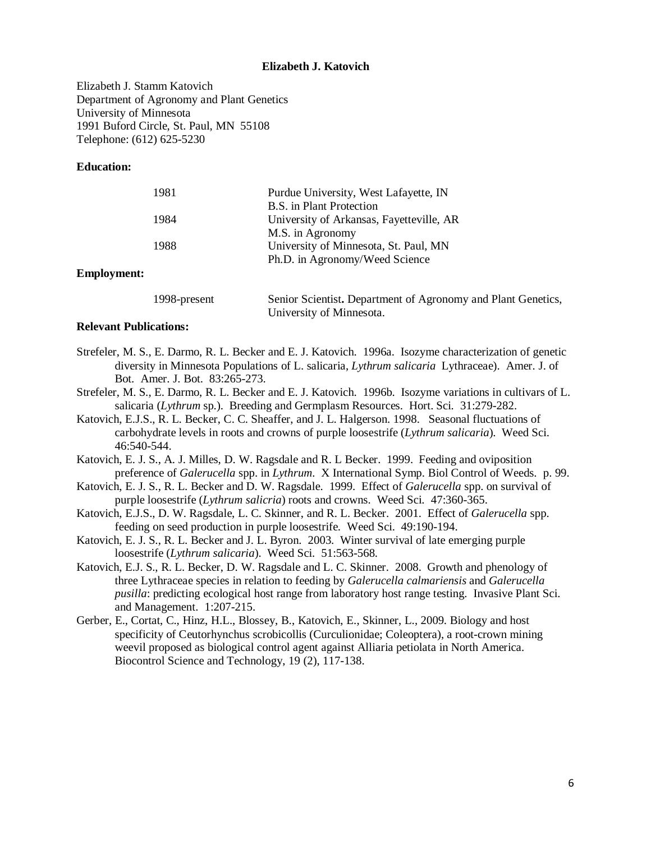#### **Elizabeth J. Katovich**

Elizabeth J. Stamm Katovich Department of Agronomy and Plant Genetics University of Minnesota 1991 Buford Circle, St. Paul, MN 55108 Telephone: (612) 625-5230

#### **Education:**

| 1981 | Purdue University, West Lafayette, IN    |  |  |
|------|------------------------------------------|--|--|
|      | B.S. in Plant Protection                 |  |  |
| 1984 | University of Arkansas, Fayetteville, AR |  |  |
|      | M.S. in Agronomy                         |  |  |
| 1988 | University of Minnesota, St. Paul, MN    |  |  |
|      | Ph.D. in Agronomy/Weed Science           |  |  |
|      |                                          |  |  |

### **Employment:**

| 1998-present | Senior Scientist. Department of Agronomy and Plant Genetics, |
|--------------|--------------------------------------------------------------|
|              | University of Minnesota.                                     |

### **Relevant Publications:**

- Strefeler, M. S., E. Darmo, R. L. Becker and E. J. Katovich. 1996a. Isozyme characterization of genetic diversity in Minnesota Populations of L. salicaria, *Lythrum salicaria* Lythraceae). Amer. J. of Bot. Amer. J. Bot. 83:265-273.
- Strefeler, M. S., E. Darmo, R. L. Becker and E. J. Katovich. 1996b. Isozyme variations in cultivars of L. salicaria (*Lythrum* sp.). Breeding and Germplasm Resources. Hort. Sci. 31:279-282.
- Katovich, E.J.S., R. L. Becker, C. C. Sheaffer, and J. L. Halgerson. 1998. Seasonal fluctuations of carbohydrate levels in roots and crowns of purple loosestrife (*Lythrum salicaria*). Weed Sci. 46:540-544.
- Katovich, E. J. S., A. J. Milles, D. W. Ragsdale and R. L Becker. 1999. Feeding and oviposition preference of *Galerucella* spp. in *Lythrum*. X International Symp. Biol Control of Weeds. p. 99.
- Katovich, E. J. S., R. L. Becker and D. W. Ragsdale. 1999. Effect of *Galerucella* spp. on survival of purple loosestrife (*Lythrum salicria*) roots and crowns. Weed Sci. 47:360-365.
- Katovich, E.J.S., D. W. Ragsdale, L. C. Skinner, and R. L. Becker. 2001. Effect of *Galerucella* spp. feeding on seed production in purple loosestrife. Weed Sci. 49:190-194.
- Katovich, E. J. S., R. L. Becker and J. L. Byron. 2003. Winter survival of late emerging purple loosestrife (*Lythrum salicaria*). Weed Sci. 51:563-568.
- Katovich, E.J. S., R. L. Becker, D. W. Ragsdale and L. C. Skinner. 2008. Growth and phenology of three Lythraceae species in relation to feeding by *Galerucella calmariensis* and *Galerucella pusilla*: predicting ecological host range from laboratory host range testing. Invasive Plant Sci. and Management. 1:207-215.
- Gerber, E., Cortat, C., Hinz, H.L., Blossey, B., Katovich, E., Skinner, L., 2009. Biology and host specificity of Ceutorhynchus scrobicollis (Curculionidae; Coleoptera), a root-crown mining weevil proposed as biological control agent against Alliaria petiolata in North America. Biocontrol Science and Technology, 19 (2), 117-138.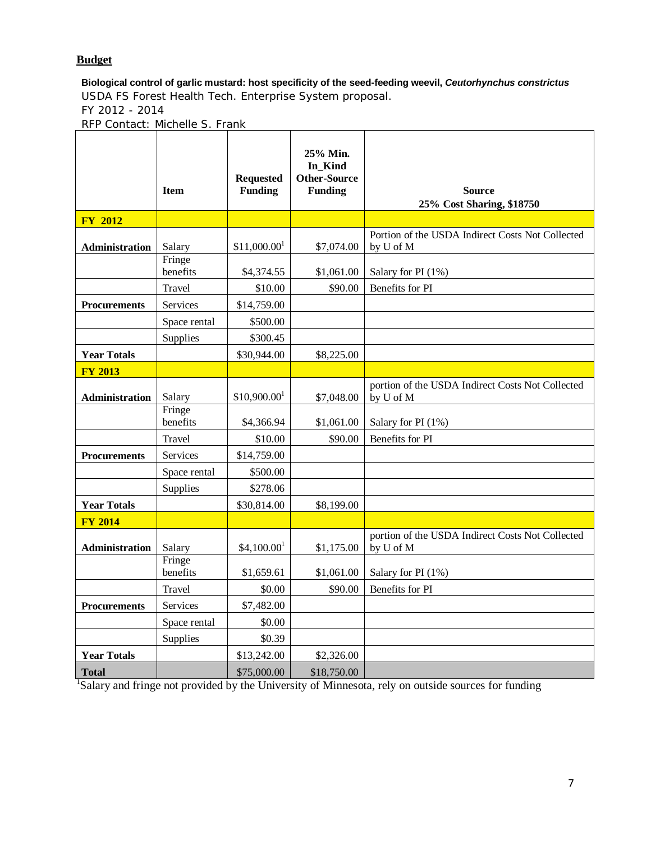# **Budget**

**Biological control of garlic mustard: host specificity of the seed-feeding weevil,** *Ceutorhynchus constrictus* USDA FS Forest Health Tech. Enterprise System proposal. FY 2012 - 2014

RFP Contact: Michelle S. Frank

|                       | <b>Item</b>        | <b>Requested</b><br><b>Funding</b> | 25% Min.<br>In Kind<br><b>Other-Source</b><br><b>Funding</b> | <b>Source</b><br>25% Cost Sharing, \$18750                    |
|-----------------------|--------------------|------------------------------------|--------------------------------------------------------------|---------------------------------------------------------------|
| <b>FY 2012</b>        |                    |                                    |                                                              |                                                               |
| Administration        | Salary             | $$11,000.00$ <sup>1</sup>          | \$7,074.00                                                   | Portion of the USDA Indirect Costs Not Collected<br>by U of M |
|                       | Fringe<br>benefits | \$4,374.55                         | \$1,061.00                                                   | Salary for PI (1%)                                            |
|                       | Travel             | \$10.00                            | \$90.00                                                      | Benefits for PI                                               |
| <b>Procurements</b>   | Services           | \$14,759.00                        |                                                              |                                                               |
|                       | Space rental       | \$500.00                           |                                                              |                                                               |
|                       | Supplies           | \$300.45                           |                                                              |                                                               |
| <b>Year Totals</b>    |                    | \$30,944.00                        | \$8,225.00                                                   |                                                               |
| <b>FY 2013</b>        |                    |                                    |                                                              |                                                               |
| Administration        | Salary             | $$10,900.00$ <sup>1</sup>          | \$7,048.00                                                   | portion of the USDA Indirect Costs Not Collected<br>by U of M |
|                       | Fringe<br>benefits | \$4,366.94                         | \$1,061.00                                                   | Salary for PI (1%)                                            |
|                       | Travel             | \$10.00                            | \$90.00                                                      | Benefits for PI                                               |
| <b>Procurements</b>   | Services           | \$14,759.00                        |                                                              |                                                               |
|                       | Space rental       | \$500.00                           |                                                              |                                                               |
|                       | Supplies           | \$278.06                           |                                                              |                                                               |
| <b>Year Totals</b>    |                    | \$30,814.00                        | \$8,199.00                                                   |                                                               |
| <b>FY 2014</b>        |                    |                                    |                                                              |                                                               |
| <b>Administration</b> | Salary             | \$4,100.00 <sup>1</sup>            | \$1,175.00                                                   | portion of the USDA Indirect Costs Not Collected<br>by U of M |
|                       | Fringe<br>benefits | \$1,659.61                         | \$1,061.00                                                   | Salary for PI (1%)                                            |
|                       | Travel             | \$0.00                             | \$90.00                                                      | Benefits for PI                                               |
| <b>Procurements</b>   | Services           | \$7,482.00                         |                                                              |                                                               |
|                       | Space rental       | \$0.00                             |                                                              |                                                               |
|                       | Supplies           | \$0.39                             |                                                              |                                                               |
| <b>Year Totals</b>    |                    | \$13,242.00                        | \$2,326.00                                                   |                                                               |
| <b>Total</b>          |                    | \$75,000.00                        | \$18,750.00                                                  |                                                               |

Total<br><sup>1</sup>Salary and fringe not provided by the University of Minnesota, rely on outside sources for funding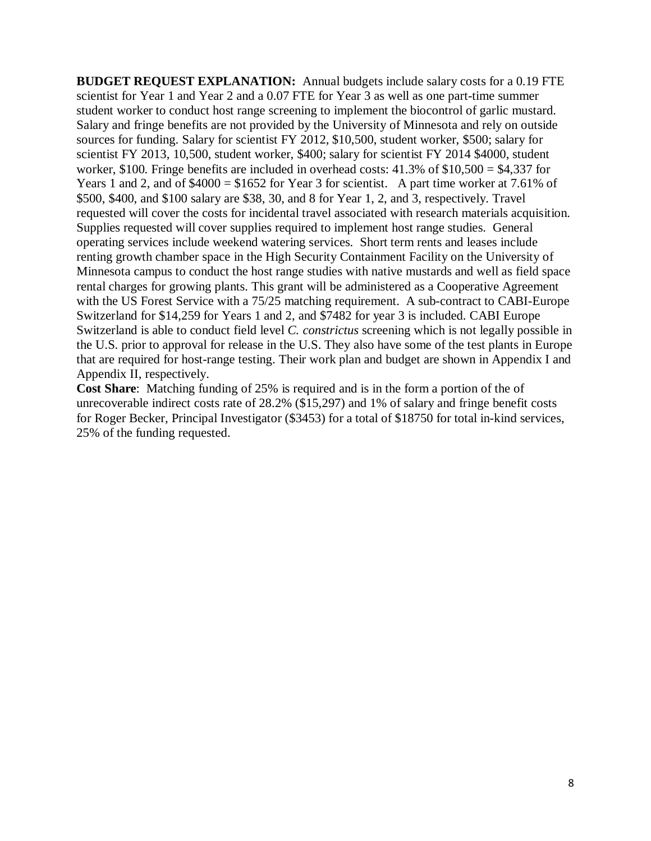**BUDGET REQUEST EXPLANATION:** Annual budgets include salary costs for a 0.19 FTE scientist for Year 1 and Year 2 and a 0.07 FTE for Year 3 as well as one part-time summer student worker to conduct host range screening to implement the biocontrol of garlic mustard. Salary and fringe benefits are not provided by the University of Minnesota and rely on outside sources for funding. Salary for scientist FY 2012, \$10,500, student worker, \$500; salary for scientist FY 2013, 10,500, student worker, \$400; salary for scientist FY 2014 \$4000, student worker, \$100. Fringe benefits are included in overhead costs: 41.3% of \$10,500 = \$4,337 for Years 1 and 2, and of \$4000 = \$1652 for Year 3 for scientist. A part time worker at 7.61% of \$500, \$400, and \$100 salary are \$38, 30, and 8 for Year 1, 2, and 3, respectively. Travel requested will cover the costs for incidental travel associated with research materials acquisition. Supplies requested will cover supplies required to implement host range studies. General operating services include weekend watering services. Short term rents and leases include renting growth chamber space in the High Security Containment Facility on the University of Minnesota campus to conduct the host range studies with native mustards and well as field space rental charges for growing plants. This grant will be administered as a Cooperative Agreement with the US Forest Service with a 75/25 matching requirement. A sub-contract to CABI-Europe Switzerland for \$14,259 for Years 1 and 2, and \$7482 for year 3 is included. CABI Europe Switzerland is able to conduct field level *C. constrictus* screening which is not legally possible in the U.S. prior to approval for release in the U.S. They also have some of the test plants in Europe that are required for host-range testing. Their work plan and budget are shown in Appendix I and Appendix II, respectively.

**Cost Share**: Matching funding of 25% is required and is in the form a portion of the of unrecoverable indirect costs rate of 28.2% (\$15,297) and 1% of salary and fringe benefit costs for Roger Becker, Principal Investigator (\$3453) for a total of \$18750 for total in-kind services, 25% of the funding requested.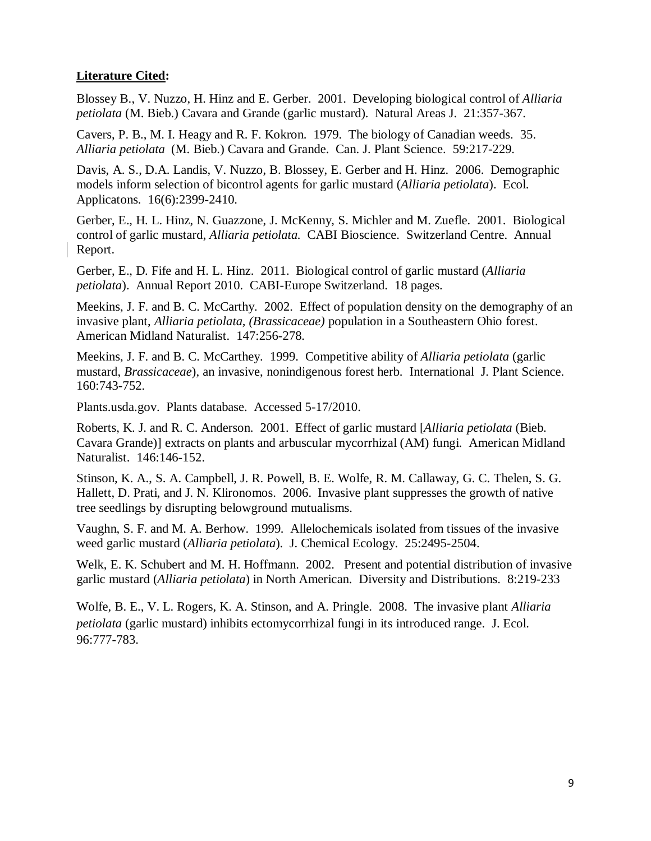# **Literature Cited:**

Blossey B., V. Nuzzo, H. Hinz and E. Gerber. 2001. Developing biological control of *Alliaria petiolata* (M. Bieb.) Cavara and Grande (garlic mustard). Natural Areas J. 21:357-367.

Cavers, P. B., M. I. Heagy and R. F. Kokron. 1979. The biology of Canadian weeds. 35. *Alliaria petiolata* (M. Bieb.) Cavara and Grande. Can. J. Plant Science. 59:217-229.

Davis, A. S., D.A. Landis, V. Nuzzo, B. Blossey, E. Gerber and H. Hinz. 2006. Demographic models inform selection of bicontrol agents for garlic mustard (*Alliaria petiolata*). Ecol. Applicatons. 16(6):2399-2410.

Gerber, E., H. L. Hinz, N. Guazzone, J. McKenny, S. Michler and M. Zuefle. 2001. Biological control of garlic mustard, *Alliaria petiolata.* CABI Bioscience. Switzerland Centre. Annual Report.

Gerber, E., D. Fife and H. L. Hinz. 2011. Biological control of garlic mustard (*Alliaria petiolata*). Annual Report 2010. CABI-Europe Switzerland. 18 pages.

Meekins, J. F. and B. C. McCarthy. 2002. Effect of population density on the demography of an invasive plant, *Alliaria petiolata, (Brassicaceae)* population in a Southeastern Ohio forest. American Midland Naturalist. 147:256-278.

Meekins, J. F. and B. C. McCarthey. 1999. Competitive ability of *Alliaria petiolata* (garlic mustard, *Brassicaceae*), an invasive, nonindigenous forest herb. International J. Plant Science. 160:743-752.

Plants.usda.gov. Plants database. Accessed 5-17/2010.

Roberts, K. J. and R. C. Anderson. 2001. Effect of garlic mustard [*Alliaria petiolata* (Bieb. Cavara Grande)] extracts on plants and arbuscular mycorrhizal (AM) fungi. American Midland Naturalist. 146:146-152.

Stinson, K. A., S. A. Campbell, J. R. Powell, B. E. Wolfe, R. M. Callaway, G. C. Thelen, S. G. Hallett, D. Prati, and J. N. Klironomos. 2006. Invasive plant suppresses the growth of native tree seedlings by disrupting belowground mutualisms.

Vaughn, S. F. and M. A. Berhow. 1999. Allelochemicals isolated from tissues of the invasive weed garlic mustard (*Alliaria petiolata*). J. Chemical Ecology. 25:2495-2504.

Welk, E. K. Schubert and M. H. Hoffmann. 2002. Present and potential distribution of invasive garlic mustard (*Alliaria petiolata*) in North American. Diversity and Distributions. 8:219-233

Wolfe, B. E., V. L. Rogers, K. A. Stinson, and A. Pringle. 2008. The invasive plant *Alliaria petiolata* (garlic mustard) inhibits ectomycorrhizal fungi in its introduced range. J. Ecol. 96:777-783.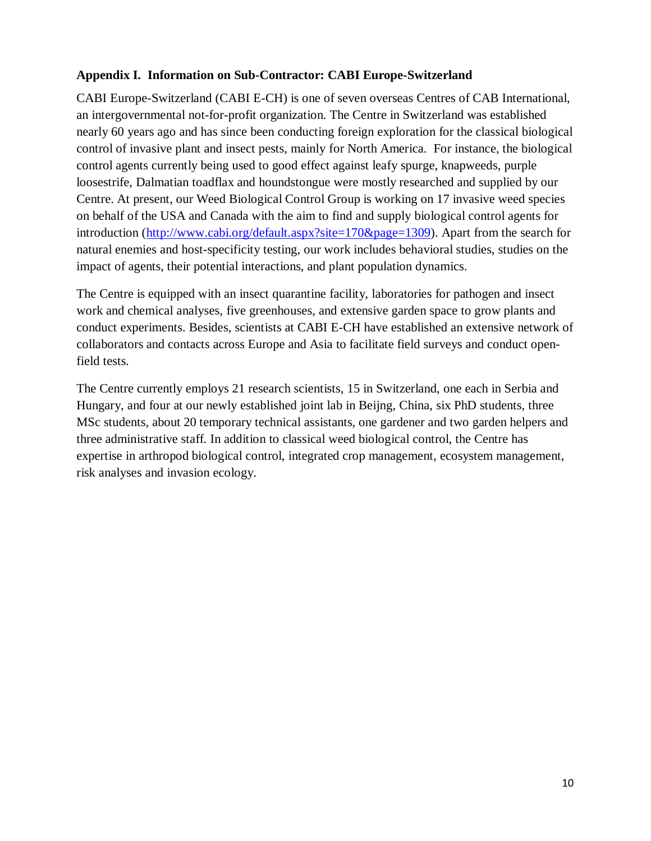# **Appendix I. Information on Sub-Contractor: CABI Europe-Switzerland**

CABI Europe-Switzerland (CABI E-CH) is one of seven overseas Centres of CAB International, an intergovernmental not-for-profit organization. The Centre in Switzerland was established nearly 60 years ago and has since been conducting foreign exploration for the classical biological control of invasive plant and insect pests, mainly for North America. For instance, the biological control agents currently being used to good effect against leafy spurge, knapweeds, purple loosestrife, Dalmatian toadflax and houndstongue were mostly researched and supplied by our Centre. At present, our Weed Biological Control Group is working on 17 invasive weed species on behalf of the USA and Canada with the aim to find and supply biological control agents for introduction [\(http://www.cabi.org/default.aspx?site=170&page=1309\)](http://www.cabi.org/default.aspx?site=170&page=1309). Apart from the search for natural enemies and host-specificity testing, our work includes behavioral studies, studies on the impact of agents, their potential interactions, and plant population dynamics.

The Centre is equipped with an insect quarantine facility, laboratories for pathogen and insect work and chemical analyses, five greenhouses, and extensive garden space to grow plants and conduct experiments. Besides, scientists at CABI E-CH have established an extensive network of collaborators and contacts across Europe and Asia to facilitate field surveys and conduct openfield tests.

The Centre currently employs 21 research scientists, 15 in Switzerland, one each in Serbia and Hungary, and four at our newly established joint lab in Beijng, China, six PhD students, three MSc students, about 20 temporary technical assistants, one gardener and two garden helpers and three administrative staff. In addition to classical weed biological control, the Centre has expertise in arthropod biological control, integrated crop management, ecosystem management, risk analyses and invasion ecology.